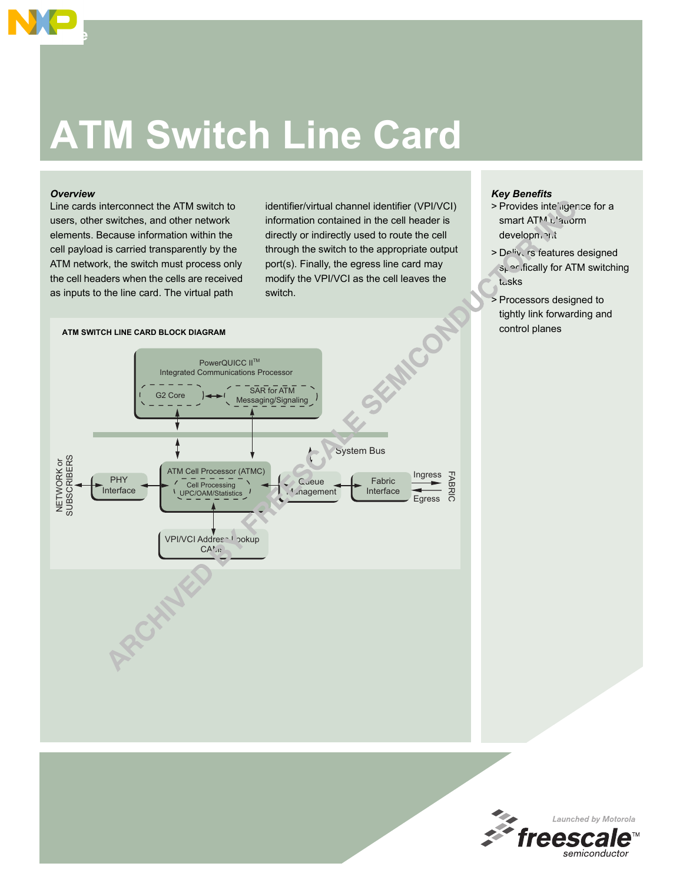# **ATM Switch Line Card**

#### *Overview*

**Edge**

Line cards interconnect the ATM switch to users, other switches, and other network elements. Because information within the cell payload is carried transparently by the ATM network, the switch must process only the cell headers when the cells are received as inputs to the line card. The virtual path

identifier/virtual channel identifier (VPI/VCI) information contained in the cell header is directly or indirectly used to route the cell through the switch to the appropriate output port(s). Finally, the egress line card may modify the VPI/VCI as the cell leaves the switch.



## *Key Benefits*

- > Provides inte' gence for a smart ATM L'auorm development
- > Delivers features designed  $s_k \sim$  fically for ATM switching tasks
- > Processors designed to tightly link forwarding and control planes

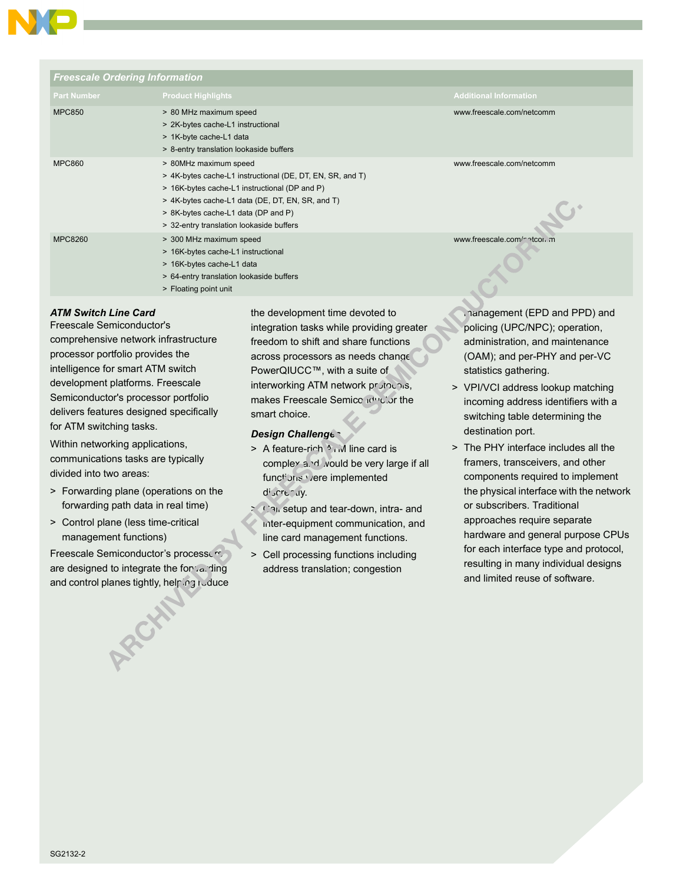

| <b>Freescale Ordering Information</b> |                                                                                                                                                                                                                                                                            |                               |
|---------------------------------------|----------------------------------------------------------------------------------------------------------------------------------------------------------------------------------------------------------------------------------------------------------------------------|-------------------------------|
| <b>Part Number</b>                    | <b>Product Highlights</b>                                                                                                                                                                                                                                                  | <b>Additional Information</b> |
| <b>MPC850</b>                         | > 80 MHz maximum speed<br>> 2K-bytes cache-L1 instructional<br>> 1K-byte cache-L1 data<br>> 8-entry translation lookaside buffers                                                                                                                                          | www.freescale.com/netcomm     |
| <b>MPC860</b>                         | > 80MHz maximum speed<br>> 4K-bytes cache-L1 instructional (DE, DT, EN, SR, and T)<br>> 16K-bytes cache-L1 instructional (DP and P)<br>> 4K-bytes cache-L1 data (DE, DT, EN, SR, and T)<br>> 8K-bytes cache-L1 data (DP and P)<br>> 32-entry translation lookaside buffers | www.freescale.com/netcomm     |
| <b>MPC8260</b>                        | > 300 MHz maximum speed<br>> 16K-bytes cache-L1 instructional<br>> 16K-bytes cache-L1 data<br>> 64-entry translation lookaside buffers<br>> Floating point unit                                                                                                            | www.freescale.com/mitcon.m    |

# *ATM Switch Line Card*

Freescale Semiconductor's comprehensive network infrastructure processor portfolio provides the intelligence for smart ATM switch development platforms. Freescale Semiconductor's processor portfolio delivers features designed specifically for ATM switching tasks.

Within networking applications, communications tasks are typically divided into two areas:

- > Forwarding plane (operations on the forwarding path data in real time)
- > Control plane (less time-critical management functions)

Freescale Semiconductor's processors are designed to integrate the forvarding and control planes tightly, helping reduce the development time devoted to integration tasks while providing greater freedom to shift and share functions across processors as needs change. PowerQIUCC™, with a suite of interworking ATM network prutocols, makes Freescale Semiconductor the smart choice.

## *Design Challenges*

- $>$  A feature-rich  $\lambda$  and line card is complex and would be very large if all functions were implemented discreedly.
- Call setup and tear-down, intra- and inter-equipment communication, and line card management functions.
- > Cell processing functions including address translation; congestion

management (EPD and PPD) and policing (UPC/NPC); operation, administration, and maintenance (OAM); and per-PHY and per-VC statistics gathering.

- > VPI/VCI address lookup matching incoming address identifiers with a switching table determining the destination port.
- > The PHY interface includes all the framers, transceivers, and other components required to implement the physical interface with the network or subscribers. Traditional approaches require separate hardware and general purpose CPUs for each interface type and protocol, resulting in many individual designs and limited reuse of software.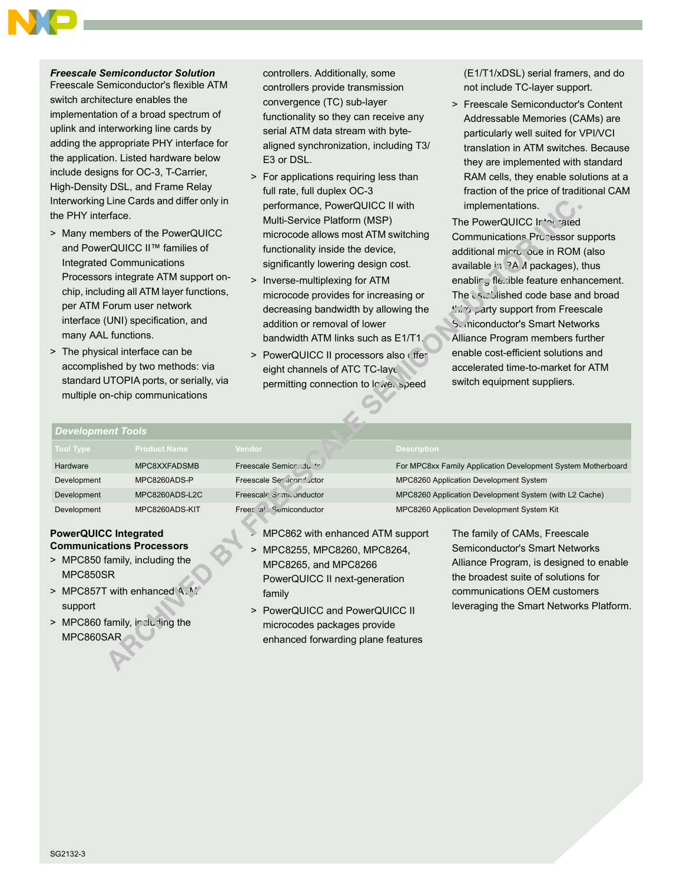# *Freescale Semiconductor Solution*

Freescale Semiconductor's flexible ATM switch architecture enables the implementation of a broad spectrum of uplink and interworking line cards by adding the appropriate PHY interface for the application. Listed hardware below include designs for OC-3, T-Carrier, High-Density DSL, and Frame Relay Interworking Line Cards and differ only in the PHY interface.

- > Many members of the PowerQUICC and PowerQUICC II™ families of Integrated Communications Processors integrate ATM support onchip, including all ATM layer functions, per ATM Forum user network interface (UNI) specification, and many AAL functions.
- > The physical interface can be accomplished by two methods: via standard UTOPIA ports, or serially, via multiple on-chip communications

controllers. Additionally, some controllers provide transmission convergence (TC) sub-layer functionality so they can receive any serial ATM data stream with bytealigned synchronization, including T3/ E3 or DSL.

- > For applications requiring less than full rate, full duplex OC-3 performance, PowerQUICC II with Multi-Service Platform (MSP) microcode allows most ATM switching functionality inside the device, significantly lowering design cost.
- > Inverse-multiplexing for ATM microcode provides for increasing or decreasing bandwidth by allowing the addition or removal of lower bandwidth ATM links such as E1/T1.
- > PowerQUICC II processors also ( ffer eight channels of ATC TC-layer permitting connection to Inwerspeed

(E1/T1/xDSL) serial framers, and do not include TC-layer support.

> Freescale Semiconductor's Content Addressable Memories (CAMs) are particularly well suited for VPI/VCI translation in ATM switches. Because they are implemented with standard RAM cells, they enable solutions at a fraction of the price of traditional CAM implementations.

The PowerQUICC Internated Communications Processor supports additional microcode in ROM (also available in RAM packages), thus enabling flexible feature enhancement. The established code base and broad third-party support from Freescale Sciniconductor's Smart Networks Alliance Program members further enable cost-efficient solutions and accelerated time-to-market for ATM switch equipment suppliers.

#### *Development Tools*

| Tool Type          | <b>Product Name</b> | <b>Vendor</b>             | <b>Description</b>                                           |
|--------------------|---------------------|---------------------------|--------------------------------------------------------------|
| <b>Hardware</b>    | MPC8XXFADSMB        | Freescale Semicrdu. **.   | For MPC8xx Family Application Development System Motherboard |
| Development        | MPC8260ADS-P        | Freescale Serginon Juctor | MPC8260 Application Development System                       |
| <b>Development</b> | MPC8260ADS-L2C      | Freescale Somponductor    | MPC8260 Application Development System (with L2 Cache)       |
| Development        | MPC8260ADS-KIT      | Free: al Semiconductor    | MPC8260 Application Development System Kit                   |

## **PowerQUICC Integrated Communications Processors**

- > MPC850 family, including the MPC850SR
- > MPC857T with enhanced  $A.M$ support
- > MPC860 family, including the MPC860SAR
- > MPC862 with enhanced ATM support
- > MPC8255, MPC8260, MPC8264, MPC8265, and MPC8266 PowerQUICC II next-generation family
- > PowerQUICC and PowerQUICC II microcodes packages provide enhanced forwarding plane features

The family of CAMs, Freescale Semiconductor's Smart Networks Alliance Program, is designed to enable

the broadest suite of solutions for communications OEM customers leveraging the Smart Networks Platform.